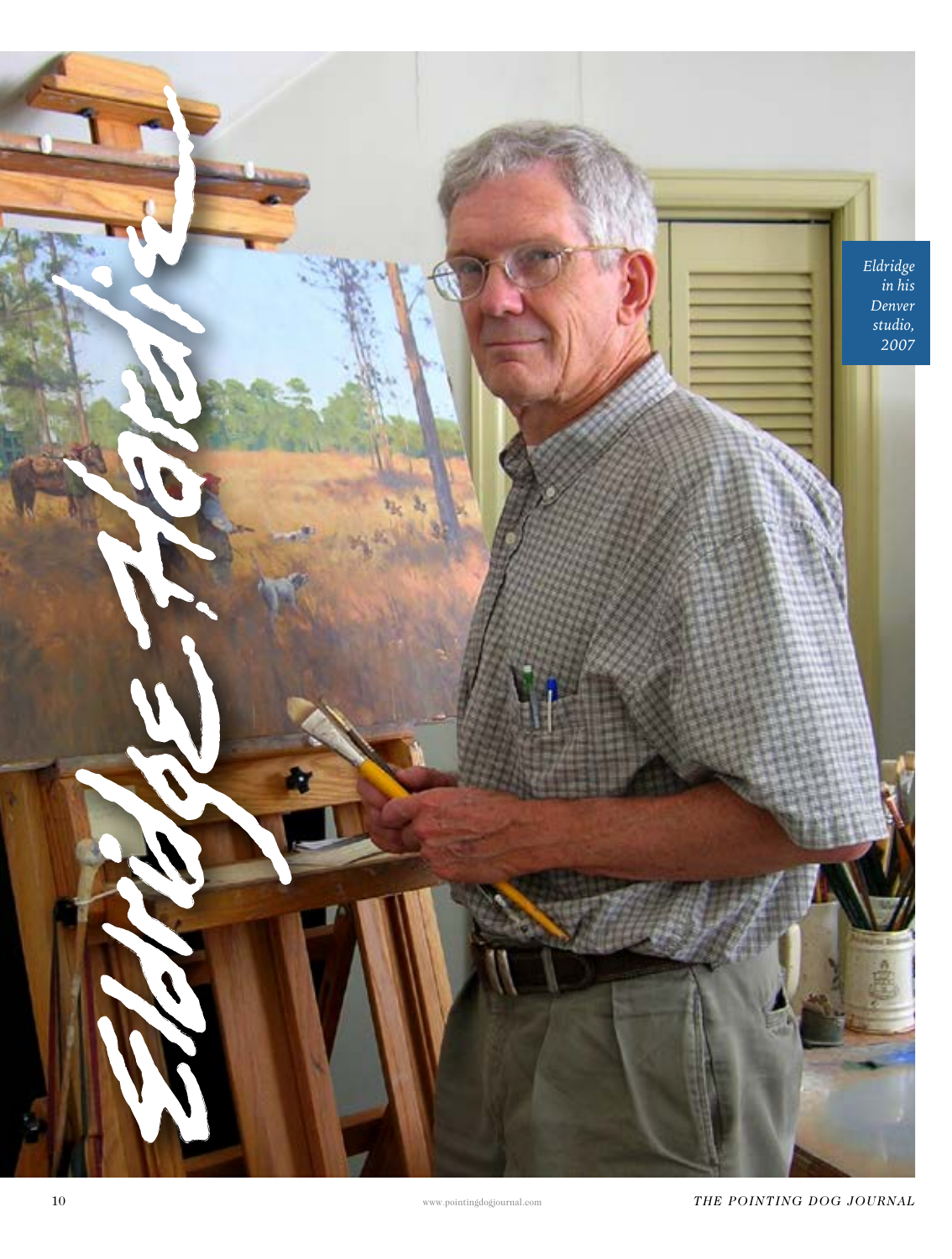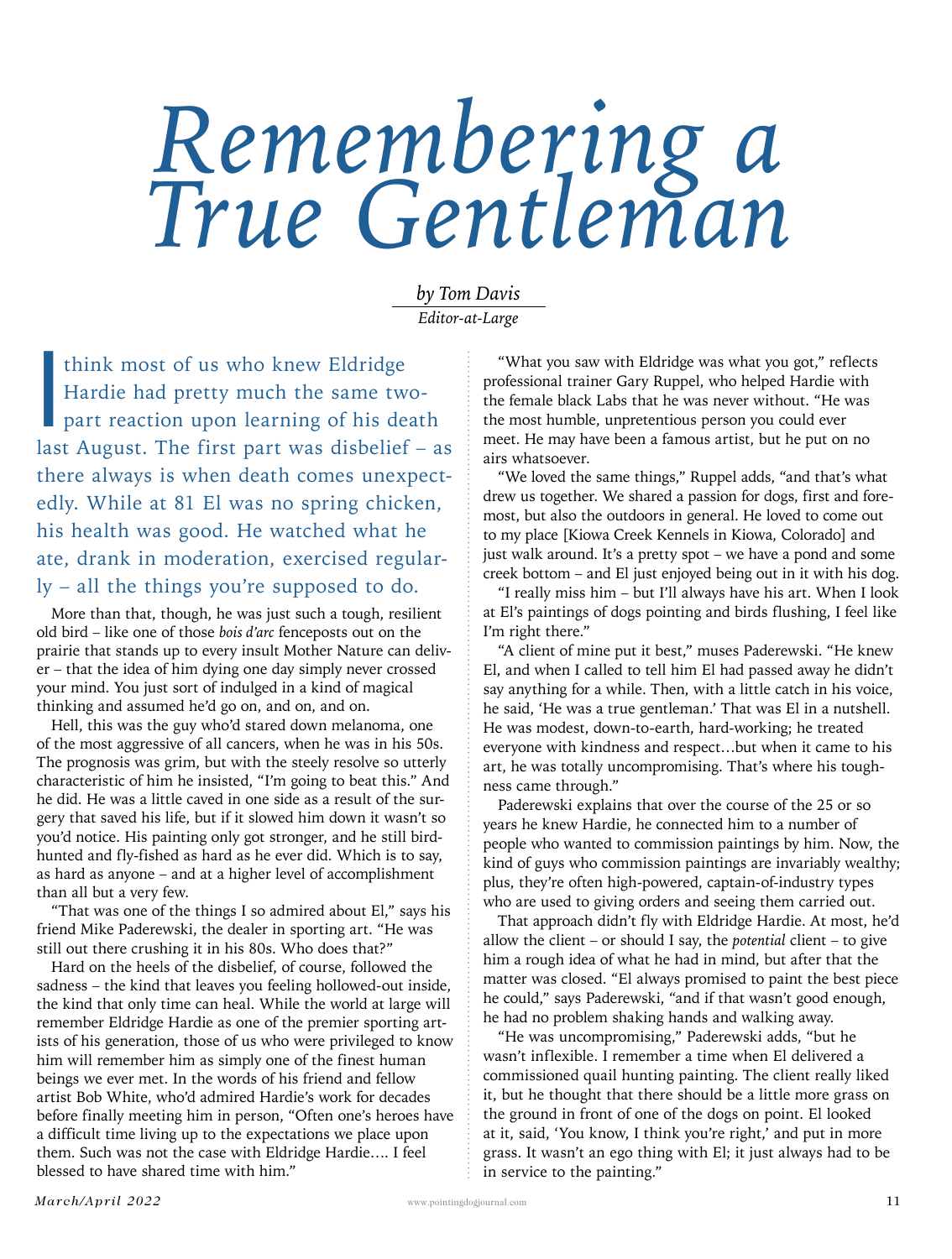## *Remembering a True Gentleman*

*by Tom Davis Editor-at-Large*

think most of us who knew Eldridge<br>Hardie had pretty much the same two<br>part reaction upon learning of his de-<br>lest August. The first part was dishelief Hardie had pretty much the same twopart reaction upon learning of his death last August. The first part was disbelief – as there always is when death comes unexpectedly. While at 81 El was no spring chicken, his health was good. He watched what he ate, drank in moderation, exercised regularly – all the things you're supposed to do.

More than that, though, he was just such a tough, resilient old bird – like one of those *bois d'arc* fenceposts out on the prairie that stands up to every insult Mother Nature can deliver – that the idea of him dying one day simply never crossed your mind. You just sort of indulged in a kind of magical thinking and assumed he'd go on, and on, and on.

Hell, this was the guy who'd stared down melanoma, one of the most aggressive of all cancers, when he was in his 50s. The prognosis was grim, but with the steely resolve so utterly characteristic of him he insisted, "I'm going to beat this." And he did. He was a little caved in one side as a result of the surgery that saved his life, but if it slowed him down it wasn't so you'd notice. His painting only got stronger, and he still birdhunted and fly-fished as hard as he ever did. Which is to say, as hard as anyone – and at a higher level of accomplishment than all but a very few.

"That was one of the things I so admired about El," says his friend Mike Paderewski, the dealer in sporting art. "He was still out there crushing it in his 80s. Who does that?"

Hard on the heels of the disbelief, of course, followed the sadness – the kind that leaves you feeling hollowed-out inside, the kind that only time can heal. While the world at large will remember Eldridge Hardie as one of the premier sporting artists of his generation, those of us who were privileged to know him will remember him as simply one of the finest human beings we ever met. In the words of his friend and fellow artist Bob White, who'd admired Hardie's work for decades before finally meeting him in person, "Often one's heroes have a difficult time living up to the expectations we place upon them. Such was not the case with Eldridge Hardie…. I feel blessed to have shared time with him."

"What you saw with Eldridge was what you got," reflects professional trainer Gary Ruppel, who helped Hardie with the female black Labs that he was never without. "He was the most humble, unpretentious person you could ever meet. He may have been a famous artist, but he put on no airs whatsoever.

"We loved the same things," Ruppel adds, "and that's what drew us together. We shared a passion for dogs, first and foremost, but also the outdoors in general. He loved to come out to my place [Kiowa Creek Kennels in Kiowa, Colorado] and just walk around. It's a pretty spot – we have a pond and some creek bottom – and El just enjoyed being out in it with his dog.

"I really miss him – but I'll always have his art. When I look at El's paintings of dogs pointing and birds flushing, I feel like I'm right there."

"A client of mine put it best," muses Paderewski. "He knew El, and when I called to tell him El had passed away he didn't say anything for a while. Then, with a little catch in his voice, he said, 'He was a true gentleman.' That was El in a nutshell. He was modest, down-to-earth, hard-working; he treated everyone with kindness and respect…but when it came to his art, he was totally uncompromising. That's where his toughness came through."

Paderewski explains that over the course of the 25 or so years he knew Hardie, he connected him to a number of people who wanted to commission paintings by him. Now, the kind of guys who commission paintings are invariably wealthy; plus, they're often high-powered, captain-of-industry types who are used to giving orders and seeing them carried out.

That approach didn't fly with Eldridge Hardie. At most, he'd allow the client – or should I say, the *potential* client – to give him a rough idea of what he had in mind, but after that the matter was closed. "El always promised to paint the best piece he could," says Paderewski, "and if that wasn't good enough, he had no problem shaking hands and walking away.

"He was uncompromising," Paderewski adds, "but he wasn't inflexible. I remember a time when El delivered a commissioned quail hunting painting. The client really liked it, but he thought that there should be a little more grass on the ground in front of one of the dogs on point. El looked at it, said, 'You know, I think you're right,' and put in more grass. It wasn't an ego thing with El; it just always had to be in service to the painting."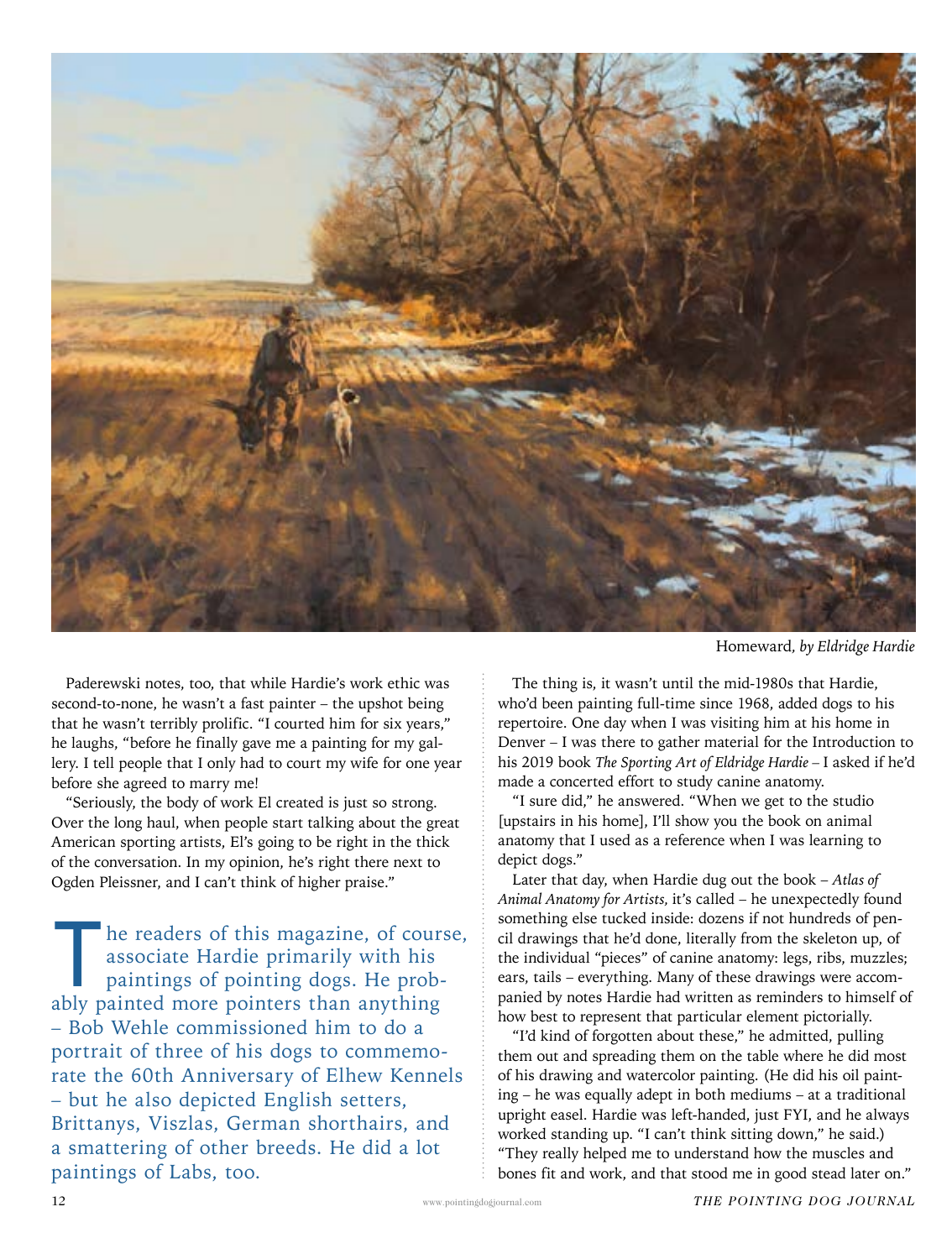

Homeward*, by Eldridge Hardie*

Paderewski notes, too, that while Hardie's work ethic was second-to-none, he wasn't a fast painter – the upshot being that he wasn't terribly prolific. "I courted him for six years," he laughs, "before he finally gave me a painting for my gallery. I tell people that I only had to court my wife for one year before she agreed to marry me!

"Seriously, the body of work El created is just so strong. Over the long haul, when people start talking about the great American sporting artists, El's going to be right in the thick of the conversation. In my opinion, he's right there next to Ogden Pleissner, and I can't think of higher praise."

The readers of this magazine, of course,<br>associate Hardie primarily with his<br>paintings of pointing dogs. He prob-<br>ably painted more pointers than anything associate Hardie primarily with his paintings of pointing dogs. He probably painted more pointers than anything – Bob Wehle commissioned him to do a portrait of three of his dogs to commemorate the 60th Anniversary of Elhew Kennels – but he also depicted English setters, Brittanys, Viszlas, German shorthairs, and a smattering of other breeds. He did a lot paintings of Labs, too.

The thing is, it wasn't until the mid-1980s that Hardie, who'd been painting full-time since 1968, added dogs to his repertoire. One day when I was visiting him at his home in Denver – I was there to gather material for the Introduction to his 2019 book *The Sporting Art of Eldridge Hardie –* I asked if he'd made a concerted effort to study canine anatomy.

"I sure did," he answered. "When we get to the studio [upstairs in his home], I'll show you the book on animal anatomy that I used as a reference when I was learning to depict dogs."

Later that day, when Hardie dug out the book – *Atlas of Animal Anatomy for Artists,* it's called – he unexpectedly found something else tucked inside: dozens if not hundreds of pencil drawings that he'd done, literally from the skeleton up, of the individual "pieces" of canine anatomy: legs, ribs, muzzles; ears, tails – everything. Many of these drawings were accompanied by notes Hardie had written as reminders to himself of how best to represent that particular element pictorially.

"I'd kind of forgotten about these," he admitted, pulling them out and spreading them on the table where he did most of his drawing and watercolor painting. (He did his oil painting – he was equally adept in both mediums – at a traditional upright easel. Hardie was left-handed, just FYI, and he always worked standing up. "I can't think sitting down," he said.) "They really helped me to understand how the muscles and bones fit and work, and that stood me in good stead later on."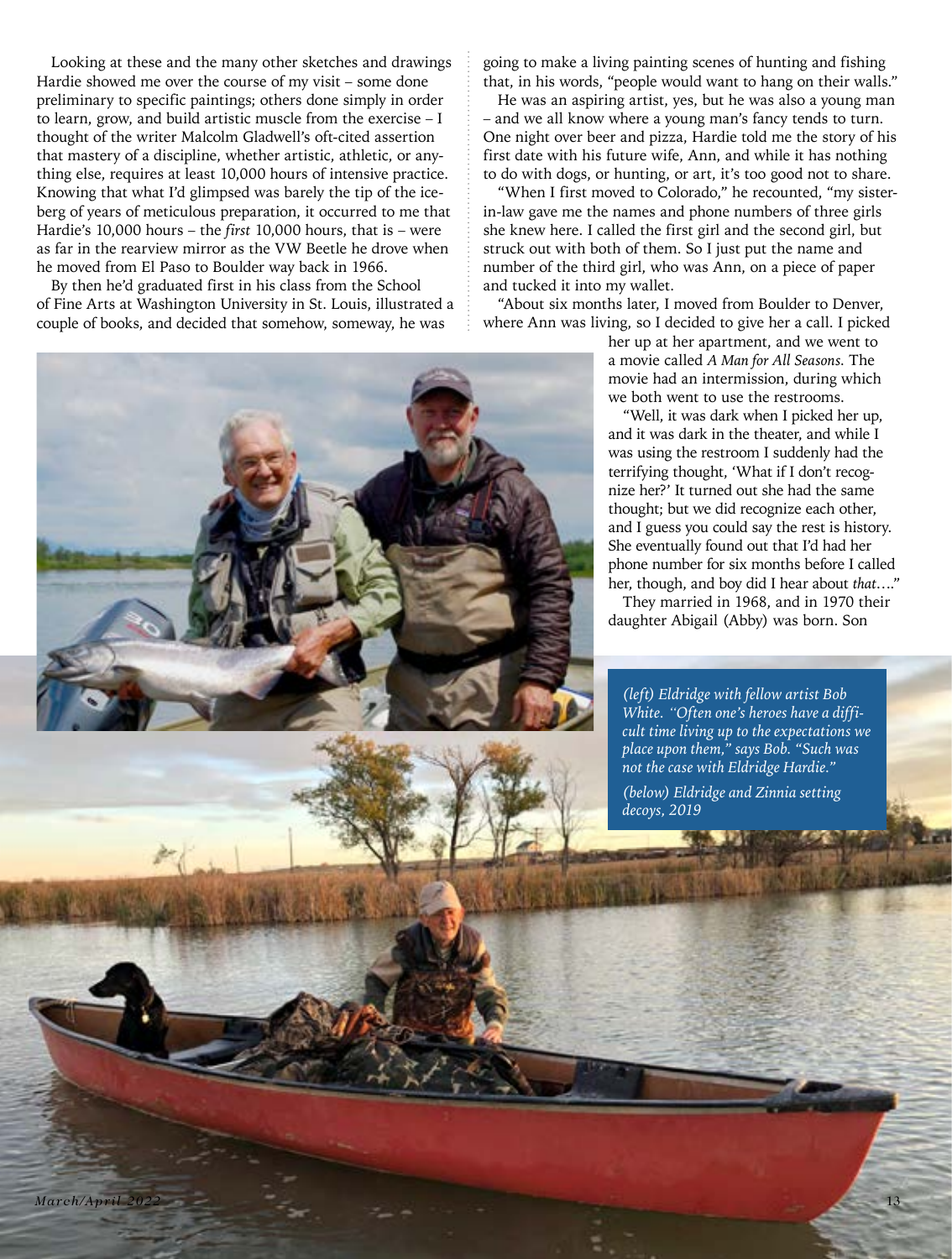Looking at these and the many other sketches and drawings Hardie showed me over the course of my visit – some done preliminary to specific paintings; others done simply in order to learn, grow, and build artistic muscle from the exercise – I thought of the writer Malcolm Gladwell's oft-cited assertion that mastery of a discipline, whether artistic, athletic, or anything else, requires at least 10,000 hours of intensive practice. Knowing that what I'd glimpsed was barely the tip of the iceberg of years of meticulous preparation, it occurred to me that Hardie's 10,000 hours – the *first* 10,000 hours, that is – were as far in the rearview mirror as the VW Beetle he drove when he moved from El Paso to Boulder way back in 1966.

By then he'd graduated first in his class from the School of Fine Arts at Washington University in St. Louis, illustrated a couple of books, and decided that somehow, someway, he was

going to make a living painting scenes of hunting and fishing that, in his words, "people would want to hang on their walls."

He was an aspiring artist, yes, but he was also a young man and we all know where a young man's fancy tends to turn. One night over beer and pizza, Hardie told me the story of his first date with his future wife, Ann, and while it has nothing to do with dogs, or hunting, or art, it's too good not to share.

"When I first moved to Colorado," he recounted, "my sisterin-law gave me the names and phone numbers of three girls she knew here. I called the first girl and the second girl, but struck out with both of them. So I just put the name and number of the third girl, who was Ann, on a piece of paper and tucked it into my wallet.

"About six months later, I moved from Boulder to Denver, where Ann was living, so I decided to give her a call. I picked

> her up at her apartment, and we went to a movie called *A Man for All Seasons.* The movie had an intermission, during which we both went to use the restrooms.

"Well, it was dark when I picked her up, and it was dark in the theater, and while I was using the restroom I suddenly had the terrifying thought, 'What if I don't recognize her?' It turned out she had the same thought; but we did recognize each other, and I guess you could say the rest is history. She eventually found out that I'd had her phone number for six months before I called her, though, and boy did I hear about *that*…."

They married in 1968, and in 1970 their daughter Abigail (Abby) was born. Son

*(left) Eldridge with fellow artist Bob White. "Often one's heroes have a difficult time living up to the expectations we place upon them," says Bob. "Such was not the case with Eldridge Hardie."*

*(below) Eldridge and Zinnia setting decoys, 2019*